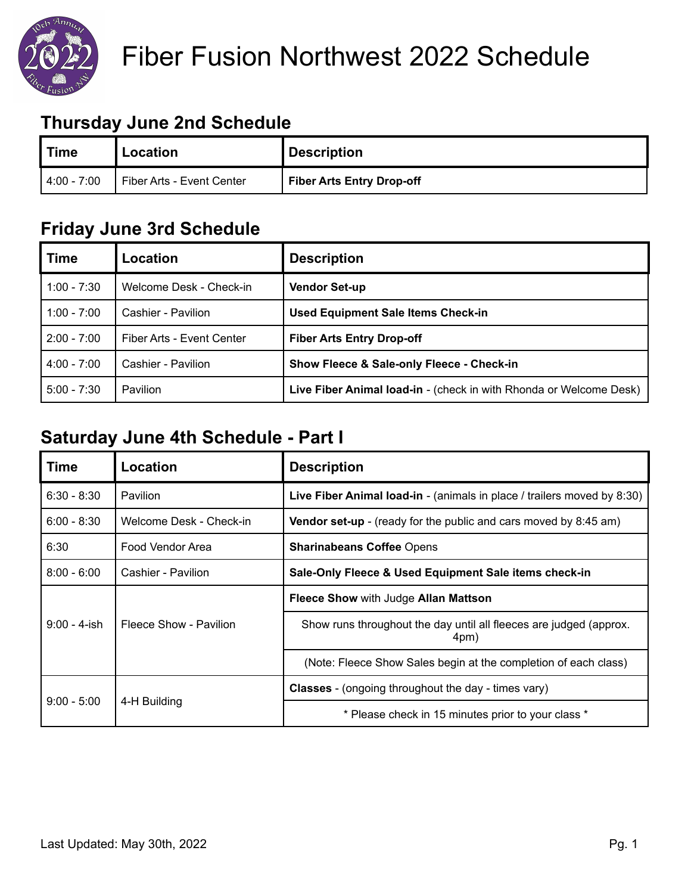

# Fiber Fusion Northwest 2022 Schedule

#### **Thursday June 2nd Schedule**

| <b>Time</b>   | Location                  | <b>Description</b>               |
|---------------|---------------------------|----------------------------------|
| $4:00 - 7:00$ | Fiber Arts - Event Center | <b>Fiber Arts Entry Drop-off</b> |

#### **Friday June 3rd Schedule**

| <b>Time</b>   | Location                  | <b>Description</b>                                                 |
|---------------|---------------------------|--------------------------------------------------------------------|
| $1:00 - 7:30$ | Welcome Desk - Check-in   | <b>Vendor Set-up</b>                                               |
| $1:00 - 7:00$ | Cashier - Pavilion        | <b>Used Equipment Sale Items Check-in</b>                          |
| $2:00 - 7:00$ | Fiber Arts - Event Center | <b>Fiber Arts Entry Drop-off</b>                                   |
| $4:00 - 7:00$ | Cashier - Pavilion        | Show Fleece & Sale-only Fleece - Check-in                          |
| $5:00 - 7:30$ | <b>Pavilion</b>           | Live Fiber Animal load-in - (check in with Rhonda or Welcome Desk) |

#### **Saturday June 4th Schedule - Part I**

| Time            | Location                | <b>Description</b>                                                         |
|-----------------|-------------------------|----------------------------------------------------------------------------|
| $6:30 - 8:30$   | Pavilion                | Live Fiber Animal load-in - (animals in place / trailers moved by 8:30)    |
| $6:00 - 8:30$   | Welcome Desk - Check-in | Vendor set-up - (ready for the public and cars moved by 8:45 am)           |
| 6:30            | Food Vendor Area        | <b>Sharinabeans Coffee Opens</b>                                           |
| $8:00 - 6:00$   | Cashier - Pavilion      | Sale-Only Fleece & Used Equipment Sale items check-in                      |
| $9:00 - 4$ -ish | Fleece Show - Pavilion  | Fleece Show with Judge Allan Mattson                                       |
|                 |                         | Show runs throughout the day until all fleeces are judged (approx.<br>4pm) |
|                 |                         | (Note: Fleece Show Sales begin at the completion of each class)            |
| $9:00 - 5:00$   | 4-H Building            | <b>Classes</b> - (ongoing throughout the day - times vary)                 |
|                 |                         | * Please check in 15 minutes prior to your class *                         |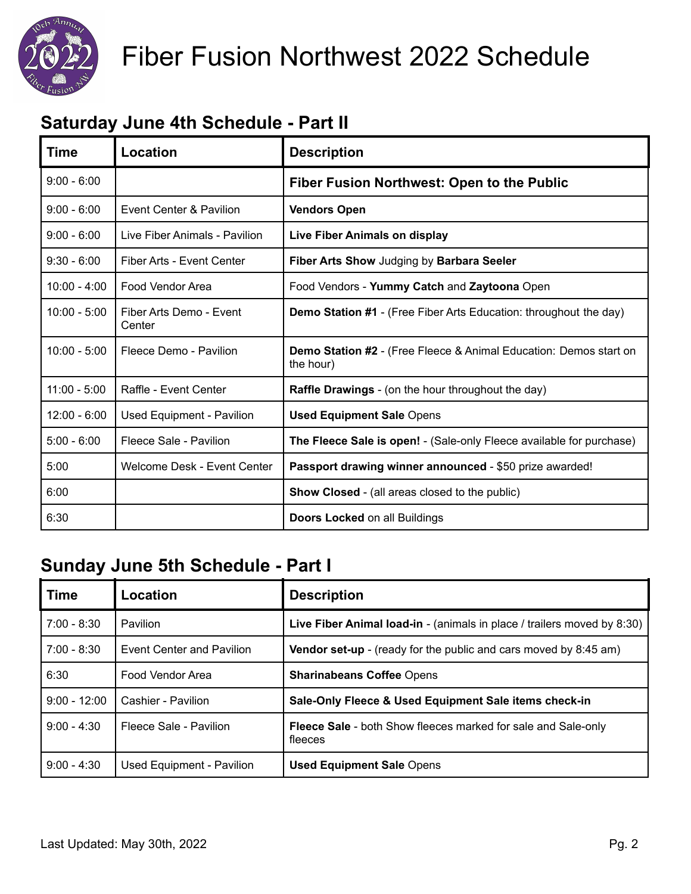

# Fiber Fusion Northwest 2022 Schedule

## **Saturday June 4th Schedule - Part II**

| <b>Time</b>    | Location                          | <b>Description</b>                                                                    |
|----------------|-----------------------------------|---------------------------------------------------------------------------------------|
| $9:00 - 6:00$  |                                   | Fiber Fusion Northwest: Open to the Public                                            |
| $9:00 - 6:00$  | Event Center & Pavilion           | <b>Vendors Open</b>                                                                   |
| $9:00 - 6:00$  | Live Fiber Animals - Pavilion     | Live Fiber Animals on display                                                         |
| $9:30 - 6:00$  | Fiber Arts - Event Center         | Fiber Arts Show Judging by Barbara Seeler                                             |
| $10:00 - 4:00$ | Food Vendor Area                  | Food Vendors - Yummy Catch and Zaytoona Open                                          |
| $10:00 - 5:00$ | Fiber Arts Demo - Event<br>Center | <b>Demo Station #1</b> - (Free Fiber Arts Education: throughout the day)              |
| $10:00 - 5:00$ | Fleece Demo - Pavilion            | <b>Demo Station #2</b> - (Free Fleece & Animal Education: Demos start on<br>the hour) |
| $11:00 - 5:00$ | Raffle - Event Center             | <b>Raffle Drawings</b> - (on the hour throughout the day)                             |
| $12:00 - 6:00$ | Used Equipment - Pavilion         | <b>Used Equipment Sale Opens</b>                                                      |
| $5:00 - 6:00$  | Fleece Sale - Pavilion            | The Fleece Sale is open! - (Sale-only Fleece available for purchase)                  |
| 5:00           | Welcome Desk - Event Center       | Passport drawing winner announced - \$50 prize awarded!                               |
| 6:00           |                                   | <b>Show Closed</b> - (all areas closed to the public)                                 |
| 6:30           |                                   | <b>Doors Locked on all Buildings</b>                                                  |

## **Sunday June 5th Schedule - Part I**

| Time           | Location                  | <b>Description</b>                                                              |
|----------------|---------------------------|---------------------------------------------------------------------------------|
| $7:00 - 8:30$  | Pavilion                  | Live Fiber Animal load-in - (animals in place / trailers moved by 8:30)         |
| $7:00 - 8:30$  | Event Center and Pavilion | Vendor set-up - (ready for the public and cars moved by 8:45 am)                |
| 6:30           | Food Vendor Area          | <b>Sharinabeans Coffee Opens</b>                                                |
| $9:00 - 12:00$ | Cashier - Pavilion        | Sale-Only Fleece & Used Equipment Sale items check-in                           |
| $9:00 - 4:30$  | Fleece Sale - Pavilion    | <b>Fleece Sale</b> - both Show fleeces marked for sale and Sale-only<br>fleeces |
| $9:00 - 4:30$  | Used Equipment - Pavilion | <b>Used Equipment Sale Opens</b>                                                |